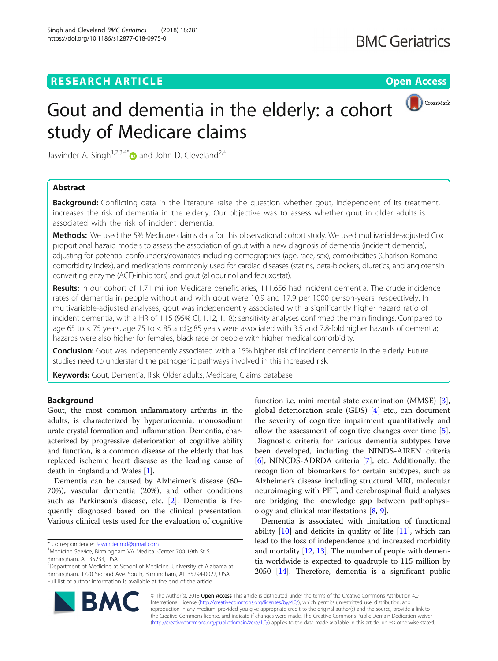

# Gout and dementia in the elderly: a cohort study of Medicare claims

Jasvinder A. Singh<sup>1,2,3,4\*</sup> $\bullet$  and John D. Cleveland<sup>2,4</sup>

# Abstract

Background: Conflicting data in the literature raise the question whether gout, independent of its treatment, increases the risk of dementia in the elderly. Our objective was to assess whether gout in older adults is associated with the risk of incident dementia.

Methods: We used the 5% Medicare claims data for this observational cohort study. We used multivariable-adjusted Cox proportional hazard models to assess the association of gout with a new diagnosis of dementia (incident dementia), adjusting for potential confounders/covariates including demographics (age, race, sex), comorbidities (Charlson-Romano comorbidity index), and medications commonly used for cardiac diseases (statins, beta-blockers, diuretics, and angiotensin converting enzyme (ACE)-inhibitors) and gout (allopurinol and febuxostat).

Results: In our cohort of 1.71 million Medicare beneficiaries, 111,656 had incident dementia. The crude incidence rates of dementia in people without and with gout were 10.9 and 17.9 per 1000 person-years, respectively. In multivariable-adjusted analyses, gout was independently associated with a significantly higher hazard ratio of incident dementia, with a HR of 1.15 (95% CI, 1.12, 1.18); sensitivity analyses confirmed the main findings. Compared to age 65 to < 75 years, age 75 to < 85 and ≥ 85 years were associated with 3.5 and 7.8-fold higher hazards of dementia; hazards were also higher for females, black race or people with higher medical comorbidity.

Conclusion: Gout was independently associated with a 15% higher risk of incident dementia in the elderly. Future studies need to understand the pathogenic pathways involved in this increased risk.

Keywords: Gout, Dementia, Risk, Older adults, Medicare, Claims database

# Background

Gout, the most common inflammatory arthritis in the adults, is characterized by hyperuricemia, monosodium urate crystal formation and inflammation. Dementia, characterized by progressive deterioration of cognitive ability and function, is a common disease of the elderly that has replaced ischemic heart disease as the leading cause of death in England and Wales [[1\]](#page-6-0).

Dementia can be caused by Alzheimer's disease (60– 70%), vascular dementia (20%), and other conditions such as Parkinson's disease, etc. [\[2\]](#page-6-0). Dementia is frequently diagnosed based on the clinical presentation. Various clinical tests used for the evaluation of cognitive

\* Correspondence: [Jasvinder.md@gmail.com](mailto:Jasvinder.md@gmail.com) <sup>1</sup>

function i.e. mini mental state examination (MMSE) [\[3](#page-6-0)], global deterioration scale (GDS) [[4\]](#page-6-0) etc., can document the severity of cognitive impairment quantitatively and allow the assessment of cognitive changes over time [\[5](#page-6-0)]. Diagnostic criteria for various dementia subtypes have been developed, including the NINDS-AIREN criteria [[6\]](#page-6-0), NINCDS-ADRDA criteria [\[7](#page-6-0)], etc. Additionally, the recognition of biomarkers for certain subtypes, such as Alzheimer's disease including structural MRI, molecular neuroimaging with PET, and cerebrospinal fluid analyses are bridging the knowledge gap between pathophysiology and clinical manifestations [[8,](#page-6-0) [9](#page-6-0)].

Dementia is associated with limitation of functional ability  $[10]$  $[10]$  and deficits in quality of life  $[11]$  $[11]$  $[11]$ , which can lead to the loss of independence and increased morbidity and mortality [\[12,](#page-6-0) [13](#page-6-0)]. The number of people with dementia worldwide is expected to quadruple to 115 million by 2050 [\[14\]](#page-6-0). Therefore, dementia is a significant public



© The Author(s). 2018 Open Access This article is distributed under the terms of the Creative Commons Attribution 4.0 International License [\(http://creativecommons.org/licenses/by/4.0/](http://creativecommons.org/licenses/by/4.0/)), which permits unrestricted use, distribution, and reproduction in any medium, provided you give appropriate credit to the original author(s) and the source, provide a link to the Creative Commons license, and indicate if changes were made. The Creative Commons Public Domain Dedication waiver [\(http://creativecommons.org/publicdomain/zero/1.0/](http://creativecommons.org/publicdomain/zero/1.0/)) applies to the data made available in this article, unless otherwise stated.

<sup>&</sup>lt;sup>1</sup>Medicine Service, Birmingham VA Medical Center 700 19th St S, Birmingham, AL 35233, USA

<sup>2</sup> Department of Medicine at School of Medicine, University of Alabama at Birmingham, 1720 Second Ave. South, Birmingham, AL 35294-0022, USA Full list of author information is available at the end of the article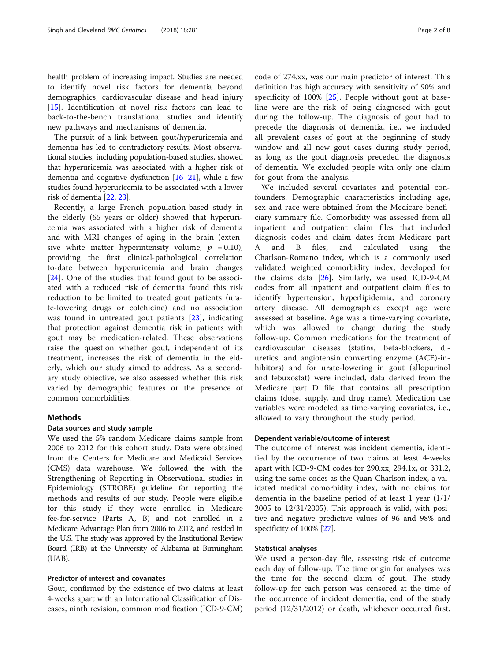health problem of increasing impact. Studies are needed to identify novel risk factors for dementia beyond demographics, cardiovascular disease and head injury [[15\]](#page-6-0). Identification of novel risk factors can lead to back-to-the-bench translational studies and identify new pathways and mechanisms of dementia.

The pursuit of a link between gout/hyperuricemia and dementia has led to contradictory results. Most observational studies, including population-based studies, showed that hyperuricemia was associated with a higher risk of dementia and cognitive dysfunction [\[16](#page-6-0)–[21\]](#page-7-0), while a few studies found hyperuricemia to be associated with a lower risk of dementia [\[22,](#page-7-0) [23](#page-7-0)].

Recently, a large French population-based study in the elderly (65 years or older) showed that hyperuricemia was associated with a higher risk of dementia and with MRI changes of aging in the brain (extensive white matter hyperintensity volume;  $p = 0.10$ ), providing the first clinical-pathological correlation to-date between hyperuricemia and brain changes [[24\]](#page-7-0). One of the studies that found gout to be associated with a reduced risk of dementia found this risk reduction to be limited to treated gout patients (urate-lowering drugs or colchicine) and no association was found in untreated gout patients [[23\]](#page-7-0), indicating that protection against dementia risk in patients with gout may be medication-related. These observations raise the question whether gout, independent of its treatment, increases the risk of dementia in the elderly, which our study aimed to address. As a secondary study objective, we also assessed whether this risk varied by demographic features or the presence of common comorbidities.

# Methods

# Data sources and study sample

We used the 5% random Medicare claims sample from 2006 to 2012 for this cohort study. Data were obtained from the Centers for Medicare and Medicaid Services (CMS) data warehouse. We followed the with the Strengthening of Reporting in Observational studies in Epidemiology (STROBE) guideline for reporting the methods and results of our study. People were eligible for this study if they were enrolled in Medicare fee-for-service (Parts A, B) and not enrolled in a Medicare Advantage Plan from 2006 to 2012, and resided in the U.S. The study was approved by the Institutional Review Board (IRB) at the University of Alabama at Birmingham (UAB).

## Predictor of interest and covariates

Gout, confirmed by the existence of two claims at least 4-weeks apart with an International Classification of Diseases, ninth revision, common modification (ICD-9-CM) code of 274.xx, was our main predictor of interest. This definition has high accuracy with sensitivity of 90% and specificity of 100% [[25\]](#page-7-0). People without gout at baseline were are the risk of being diagnosed with gout during the follow-up. The diagnosis of gout had to precede the diagnosis of dementia, i.e., we included all prevalent cases of gout at the beginning of study window and all new gout cases during study period, as long as the gout diagnosis preceded the diagnosis of dementia. We excluded people with only one claim for gout from the analysis.

We included several covariates and potential confounders. Demographic characteristics including age, sex and race were obtained from the Medicare beneficiary summary file. Comorbidity was assessed from all inpatient and outpatient claim files that included diagnosis codes and claim dates from Medicare part A and B files, and calculated using the Charlson-Romano index, which is a commonly used validated weighted comorbidity index, developed for the claims data  $[26]$  $[26]$ . Similarly, we used ICD-9-CM codes from all inpatient and outpatient claim files to identify hypertension, hyperlipidemia, and coronary artery disease. All demographics except age were assessed at baseline. Age was a time-varying covariate, which was allowed to change during the study follow-up. Common medications for the treatment of cardiovascular diseases (statins, beta-blockers, diuretics, and angiotensin converting enzyme (ACE)-inhibitors) and for urate-lowering in gout (allopurinol and febuxostat) were included, data derived from the Medicare part D file that contains all prescription claims (dose, supply, and drug name). Medication use variables were modeled as time-varying covariates, i.e., allowed to vary throughout the study period.

## Dependent variable/outcome of interest

The outcome of interest was incident dementia, identified by the occurrence of two claims at least 4-weeks apart with ICD-9-CM codes for 290.xx, 294.1x, or 331.2, using the same codes as the Quan-Charlson index, a validated medical comorbidity index, with no claims for dementia in the baseline period of at least 1 year (1/1/ 2005 to 12/31/2005). This approach is valid, with positive and negative predictive values of 96 and 98% and specificity of 100% [[27](#page-7-0)].

## Statistical analyses

We used a person-day file, assessing risk of outcome each day of follow-up. The time origin for analyses was the time for the second claim of gout. The study follow-up for each person was censored at the time of the occurrence of incident dementia, end of the study period (12/31/2012) or death, whichever occurred first.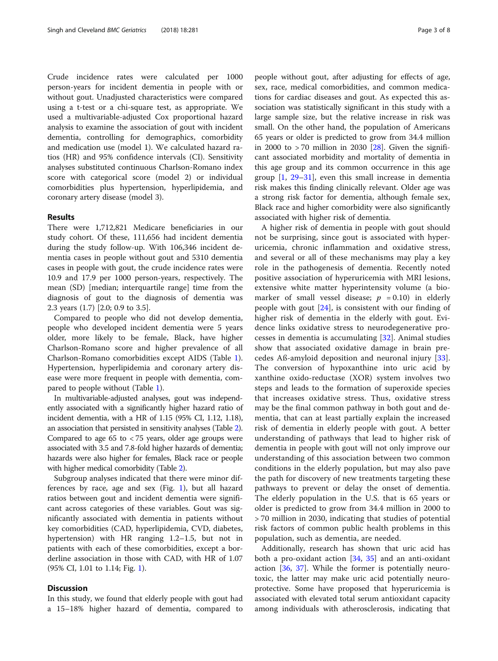Crude incidence rates were calculated per 1000 person-years for incident dementia in people with or without gout. Unadjusted characteristics were compared using a t-test or a chi-square test, as appropriate. We used a multivariable-adjusted Cox proportional hazard analysis to examine the association of gout with incident dementia, controlling for demographics, comorbidity and medication use (model 1). We calculated hazard ratios (HR) and 95% confidence intervals (CI). Sensitivity analyses substituted continuous Charlson-Romano index score with categorical score (model 2) or individual comorbidities plus hypertension, hyperlipidemia, and coronary artery disease (model 3).

## Results

There were 1,712,821 Medicare beneficiaries in our study cohort. Of these, 111,656 had incident dementia during the study follow-up. With 106,346 incident dementia cases in people without gout and 5310 dementia cases in people with gout, the crude incidence rates were 10.9 and 17.9 per 1000 person-years, respectively. The mean (SD) [median; interquartile range] time from the diagnosis of gout to the diagnosis of dementia was 2.3 years (1.7) [2.0; 0.9 to 3.5].

Compared to people who did not develop dementia, people who developed incident dementia were 5 years older, more likely to be female, Black, have higher Charlson-Romano score and higher prevalence of all Charlson-Romano comorbidities except AIDS (Table [1](#page-3-0)). Hypertension, hyperlipidemia and coronary artery disease were more frequent in people with dementia, compared to people without (Table [1](#page-3-0)).

In multivariable-adjusted analyses, gout was independently associated with a significantly higher hazard ratio of incident dementia, with a HR of 1.15 (95% CI, 1.12, 1.18), an association that persisted in sensitivity analyses (Table [2](#page-4-0)). Compared to age  $65$  to  $\lt 75$  years, older age groups were associated with 3.5 and 7.8-fold higher hazards of dementia; hazards were also higher for females, Black race or people with higher medical comorbidity (Table [2\)](#page-4-0).

Subgroup analyses indicated that there were minor dif-ferences by race, age and sex (Fig. [1](#page-5-0)), but all hazard ratios between gout and incident dementia were significant across categories of these variables. Gout was significantly associated with dementia in patients without key comorbidities (CAD, hyperlipidemia, CVD, diabetes, hypertension) with HR ranging 1.2–1.5, but not in patients with each of these comorbidities, except a borderline association in those with CAD, with HR of 1.07 (95% CI, 1.01 to 1.14; Fig. [1\)](#page-5-0).

# **Discussion**

In this study, we found that elderly people with gout had a 15–18% higher hazard of dementia, compared to people without gout, after adjusting for effects of age, sex, race, medical comorbidities, and common medications for cardiac diseases and gout. As expected this association was statistically significant in this study with a large sample size, but the relative increase in risk was small. On the other hand, the population of Americans 65 years or older is predicted to grow from 34.4 million in 2000 to  $> 70$  million in 2030 [\[28\]](#page-7-0). Given the significant associated morbidity and mortality of dementia in this age group and its common occurrence in this age group  $[1, 29-31]$  $[1, 29-31]$  $[1, 29-31]$  $[1, 29-31]$  $[1, 29-31]$  $[1, 29-31]$ , even this small increase in dementia risk makes this finding clinically relevant. Older age was a strong risk factor for dementia, although female sex, Black race and higher comorbidity were also significantly associated with higher risk of dementia.

A higher risk of dementia in people with gout should not be surprising, since gout is associated with hyperuricemia, chronic inflammation and oxidative stress, and several or all of these mechanisms may play a key role in the pathogenesis of dementia. Recently noted positive association of hyperuricemia with MRI lesions, extensive white matter hyperintensity volume (a biomarker of small vessel disease;  $p = 0.10$ ) in elderly people with gout  $[24]$  $[24]$ , is consistent with our finding of higher risk of dementia in the elderly with gout. Evidence links oxidative stress to neurodegenerative processes in dementia is accumulating [[32\]](#page-7-0). Animal studies show that associated oxidative damage in brain precedes Aß-amyloid deposition and neuronal injury [\[33](#page-7-0)]. The conversion of hypoxanthine into uric acid by xanthine oxido-reductase (XOR) system involves two steps and leads to the formation of superoxide species that increases oxidative stress. Thus, oxidative stress may be the final common pathway in both gout and dementia, that can at least partially explain the increased risk of dementia in elderly people with gout. A better understanding of pathways that lead to higher risk of dementia in people with gout will not only improve our understanding of this association between two common conditions in the elderly population, but may also pave the path for discovery of new treatments targeting these pathways to prevent or delay the onset of dementia. The elderly population in the U.S. that is 65 years or older is predicted to grow from 34.4 million in 2000 to > 70 million in 2030, indicating that studies of potential risk factors of common public health problems in this population, such as dementia, are needed.

Additionally, research has shown that uric acid has both a pro-oxidant action [[34](#page-7-0), [35\]](#page-7-0) and an anti-oxidant action [\[36](#page-7-0), [37\]](#page-7-0). While the former is potentially neurotoxic, the latter may make uric acid potentially neuroprotective. Some have proposed that hyperuricemia is associated with elevated total serum antioxidant capacity among individuals with atherosclerosis, indicating that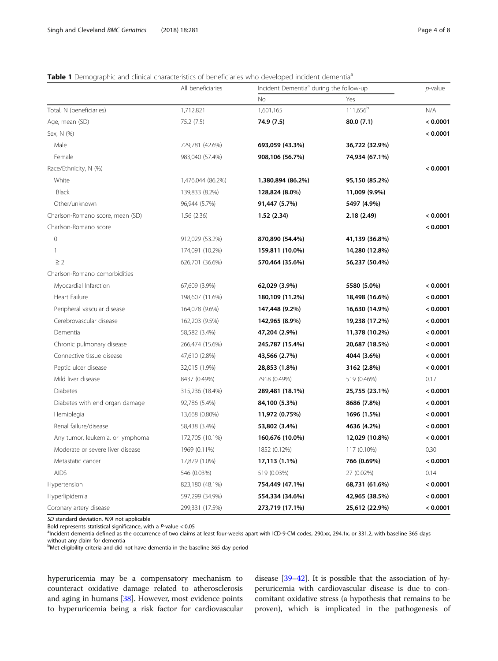# <span id="page-3-0"></span>**Table 1** Demographic and clinical characteristics of beneficiaries who developed incident dementia<sup>a</sup>

|                                  | All beneficiaries | Incident Dementia <sup>a</sup> during the follow-up | <i>p</i> -value |          |
|----------------------------------|-------------------|-----------------------------------------------------|-----------------|----------|
|                                  |                   | No                                                  | Yes             |          |
| Total, N (beneficiaries)         | 1,712,821         | 1,601,165                                           | $111,656^b$     | N/A      |
| Age, mean (SD)                   | 75.2 (7.5)        | 74.9 (7.5)                                          | 80.0(7.1)       | < 0.0001 |
| Sex, N (%)                       |                   |                                                     |                 | < 0.0001 |
| Male                             | 729,781 (42.6%)   | 693,059 (43.3%)                                     | 36,722 (32.9%)  |          |
| Female                           | 983,040 (57.4%)   | 908,106 (56.7%)                                     | 74,934 (67.1%)  |          |
| Race/Ethnicity, N (%)            |                   |                                                     |                 | < 0.0001 |
| White                            | 1,476,044 (86.2%) | 1,380,894 (86.2%)                                   | 95,150 (85.2%)  |          |
| <b>Black</b>                     | 139,833 (8.2%)    | 128,824 (8.0%)                                      | 11,009 (9.9%)   |          |
| Other/unknown                    | 96,944 (5.7%)     | 91,447 (5.7%)                                       | 5497 (4.9%)     |          |
| Charlson-Romano score, mean (SD) | 1.56(2.36)        | 1.52(2.34)                                          | 2.18(2.49)      | < 0.0001 |
| Charlson-Romano score            |                   |                                                     |                 | < 0.0001 |
| 0                                | 912,029 (53.2%)   | 870,890 (54.4%)                                     | 41,139 (36.8%)  |          |
| 1                                | 174,091 (10.2%)   | 159,811 (10.0%)                                     | 14,280 (12.8%)  |          |
| $\geq$ 2                         | 626,701 (36.6%)   | 570,464 (35.6%)                                     | 56,237 (50.4%)  |          |
| Charlson-Romano comorbidities    |                   |                                                     |                 |          |
| Myocardial Infarction            | 67,609 (3.9%)     | 62,029 (3.9%)                                       | 5580 (5.0%)     | < 0.0001 |
| Heart Failure                    | 198,607 (11.6%)   | 180,109 (11.2%)                                     | 18,498 (16.6%)  | < 0.0001 |
| Peripheral vascular disease      | 164,078 (9.6%)    | 147,448 (9.2%)                                      | 16,630 (14.9%)  | < 0.0001 |
| Cerebrovascular disease          | 162,203 (9.5%)    | 142,965 (8.9%)                                      | 19,238 (17.2%)  | < 0.0001 |
| Dementia                         | 58,582 (3.4%)     | 47,204 (2.9%)                                       | 11,378 (10.2%)  | < 0.0001 |
| Chronic pulmonary disease        | 266,474 (15.6%)   | 245,787 (15.4%)                                     | 20,687 (18.5%)  | < 0.0001 |
| Connective tissue disease        | 47,610 (2.8%)     | 43,566 (2.7%)                                       | 4044 (3.6%)     | < 0.0001 |
| Peptic ulcer disease             | 32,015 (1.9%)     | 28,853 (1.8%)                                       | 3162 (2.8%)     | < 0.0001 |
| Mild liver disease               | 8437 (0.49%)      | 7918 (0.49%)                                        | 519 (0.46%)     | 0.17     |
| <b>Diabetes</b>                  | 315,236 (18.4%)   | 289,481 (18.1%)                                     | 25,755 (23.1%)  | < 0.0001 |
| Diabetes with end organ damage   | 92,786 (5.4%)     | 84,100 (5.3%)                                       | 8686 (7.8%)     | < 0.0001 |
| Hemiplegia                       | 13,668 (0.80%)    | 11,972 (0.75%)                                      | 1696 (1.5%)     | < 0.0001 |
| Renal failure/disease            | 58,438 (3.4%)     | 53,802 (3.4%)                                       | 4636 (4.2%)     | < 0.0001 |
| Any tumor, leukemia, or lymphoma | 172,705 (10.1%)   | 160,676 (10.0%)                                     | 12,029 (10.8%)  | < 0.0001 |
| Moderate or severe liver disease | 1969 (0.11%)      | 1852 (0.12%)                                        | 117 (0.10%)     | 0.30     |
| Metastatic cancer                | 17,879 (1.0%)     | 17,113 (1.1%)                                       | 766 (0.69%)     | < 0.0001 |
| <b>AIDS</b>                      | 546 (0.03%)       | 519 (0.03%)                                         | 27 (0.02%)      | 0.14     |
| Hypertension                     | 823,180 (48.1%)   | 754,449 (47.1%)                                     | 68,731 (61.6%)  | < 0.0001 |
| Hyperlipidemia                   | 597,299 (34.9%)   | 554,334 (34.6%)                                     | 42,965 (38.5%)  | < 0.0001 |
| Coronary artery disease          | 299,331 (17.5%)   | 273,719 (17.1%)                                     | 25,612 (22.9%)  | < 0.0001 |

SD standard deviation, N/A not applicable

Bold represents statistical significance, with a  $P$ -value < 0.05

<sup>a</sup>Incident dementia defined as the occurrence of two claims at least four-weeks apart with ICD-9-CM codes, 290.xx, 294.1x, or 331.2, with baseline 365 days without any claim for dementia

<sup>b</sup>Met eligibility criteria and did not have dementia in the baseline 365-day period

hyperuricemia may be a compensatory mechanism to counteract oxidative damage related to atherosclerosis and aging in humans [\[38\]](#page-7-0). However, most evidence points to hyperuricemia being a risk factor for cardiovascular

disease [[39](#page-7-0)–[42\]](#page-7-0). It is possible that the association of hyperuricemia with cardiovascular disease is due to concomitant oxidative stress (a hypothesis that remains to be proven), which is implicated in the pathogenesis of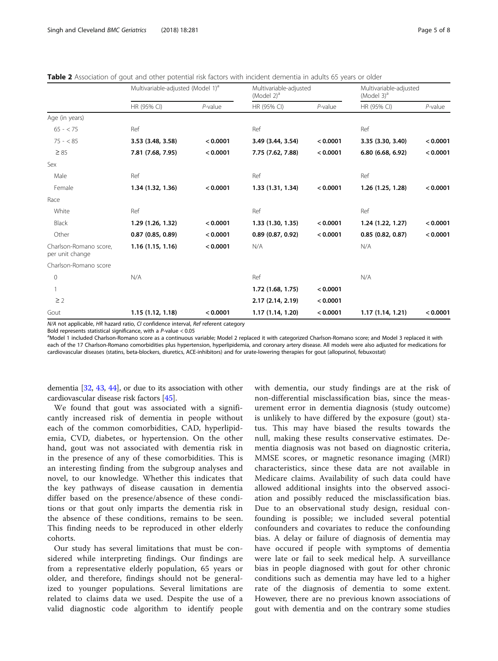|                                           | Multivariable-adjusted (Model 1) <sup>a</sup> |            | Multivariable-adjusted<br>(Model $2)^a$ |            | Multivariable-adjusted<br>(Model 3) <sup>a</sup> |            |
|-------------------------------------------|-----------------------------------------------|------------|-----------------------------------------|------------|--------------------------------------------------|------------|
|                                           | HR (95% CI)                                   | $P$ -value | HR (95% CI)                             | $P$ -value | HR (95% CI)                                      | $P$ -value |
| Age (in years)                            |                                               |            |                                         |            |                                                  |            |
| $65 - 75$                                 | Ref                                           |            | Ref                                     |            | Ref                                              |            |
| $75 - $85$                                | 3.53 (3.48, 3.58)                             | < 0.0001   | 3.49 (3.44, 3.54)                       | < 0.0001   | 3.35 (3.30, 3.40)                                | < 0.0001   |
| $\geq 85$                                 | 7.81 (7.68, 7.95)                             | < 0.0001   | 7.75 (7.62, 7.88)                       | < 0.0001   | 6.80 (6.68, 6.92)                                | < 0.0001   |
| Sex                                       |                                               |            |                                         |            |                                                  |            |
| Male                                      | Ref                                           |            | Ref                                     |            | Ref                                              |            |
| Female                                    | 1.34 (1.32, 1.36)                             | < 0.0001   | 1.33 (1.31, 1.34)                       | < 0.0001   | 1.26 (1.25, 1.28)                                | < 0.0001   |
| Race                                      |                                               |            |                                         |            |                                                  |            |
| White                                     | Ref                                           |            | Ref                                     |            | Ref                                              |            |
| Black                                     | 1.29 (1.26, 1.32)                             | < 0.0001   | 1.33 (1.30, 1.35)                       | < 0.0001   | 1.24 (1.22, 1.27)                                | < 0.0001   |
| Other                                     | $0.87$ $(0.85, 0.89)$                         | < 0.0001   | $0.89$ (0.87, 0.92)                     | < 0.0001   | 0.85(0.82, 0.87)                                 | < 0.0001   |
| Charlson-Romano score,<br>per unit change | 1.16(1.15, 1.16)                              | < 0.0001   | N/A                                     |            | N/A                                              |            |
| Charlson-Romano score                     |                                               |            |                                         |            |                                                  |            |
| $\mathbf{0}$                              | N/A                                           |            | Ref                                     |            | N/A                                              |            |
|                                           |                                               |            | 1.72 (1.68, 1.75)                       | < 0.0001   |                                                  |            |
| $\geq$ 2                                  |                                               |            | 2.17 (2.14, 2.19)                       | < 0.0001   |                                                  |            |
| Gout                                      | 1.15 (1.12, 1.18)                             | < 0.0001   | 1.17 (1.14, 1.20)                       | < 0.0001   | 1.17(1.14, 1.21)                                 | < 0.0001   |

<span id="page-4-0"></span>Table 2 Association of gout and other potential risk factors with incident dementia in adults 65 years or older

 $N/A$  not applicable, HR hazard ratio, CI confidence interval, Ref referent category<br>Bold represents statistical significance, with a P-value < 0.05

Bold represents statistical significance, with a P-value < 0.05<br>ªModel 1 included Charlson-Romano score as a continuous variable; Model 2 replaced it with categorized Charlson-Romano score; and Model 3 replaced it with each of the 17 Charlson-Romano comorbidities plus hypertension, hyperlipidemia, and coronary artery disease. All models were also adjusted for medications for cardiovascular diseases (statins, beta-blockers, diuretics, ACE-inhibitors) and for urate-lowering therapies for gout (allopurinol, febuxostat)

dementia [\[32,](#page-7-0) [43,](#page-7-0) [44](#page-7-0)], or due to its association with other cardiovascular disease risk factors [[45\]](#page-7-0).

We found that gout was associated with a significantly increased risk of dementia in people without each of the common comorbidities, CAD, hyperlipidemia, CVD, diabetes, or hypertension. On the other hand, gout was not associated with dementia risk in in the presence of any of these comorbidities. This is an interesting finding from the subgroup analyses and novel, to our knowledge. Whether this indicates that the key pathways of disease causation in dementia differ based on the presence/absence of these conditions or that gout only imparts the dementia risk in the absence of these conditions, remains to be seen. This finding needs to be reproduced in other elderly cohorts.

Our study has several limitations that must be considered while interpreting findings. Our findings are from a representative elderly population, 65 years or older, and therefore, findings should not be generalized to younger populations. Several limitations are related to claims data we used. Despite the use of a valid diagnostic code algorithm to identify people with dementia, our study findings are at the risk of non-differential misclassification bias, since the measurement error in dementia diagnosis (study outcome) is unlikely to have differed by the exposure (gout) status. This may have biased the results towards the null, making these results conservative estimates. Dementia diagnosis was not based on diagnostic criteria, MMSE scores, or magnetic resonance imaging (MRI) characteristics, since these data are not available in Medicare claims. Availability of such data could have allowed additional insights into the observed association and possibly reduced the misclassification bias. Due to an observational study design, residual confounding is possible; we included several potential confounders and covariates to reduce the confounding bias. A delay or failure of diagnosis of dementia may have occured if people with symptoms of dementia were late or fail to seek medical help. A surveillance bias in people diagnosed with gout for other chronic conditions such as dementia may have led to a higher rate of the diagnosis of dementia to some extent. However, there are no previous known associations of gout with dementia and on the contrary some studies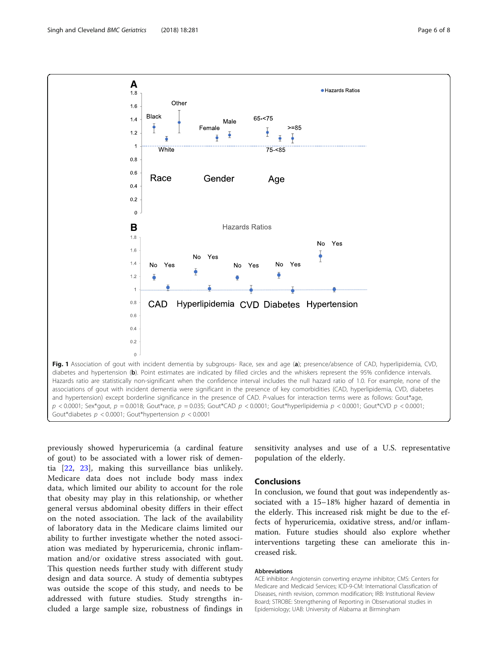previously showed hyperuricemia (a cardinal feature of gout) to be associated with a lower risk of dementia [[22,](#page-7-0) [23\]](#page-7-0), making this surveillance bias unlikely. Medicare data does not include body mass index data, which limited our ability to account for the role that obesity may play in this relationship, or whether general versus abdominal obesity differs in their effect on the noted association. The lack of the availability of laboratory data in the Medicare claims limited our ability to further investigate whether the noted association was mediated by hyperuricemia, chronic inflammation and/or oxidative stress associated with gout. This question needs further study with different study design and data source. A study of dementia subtypes was outside the scope of this study, and needs to be addressed with future studies. Study strengths included a large sample size, robustness of findings in

sensitivity analyses and use of a U.S. representative population of the elderly.

# **Conclusions**

In conclusion, we found that gout was independently associated with a 15–18% higher hazard of dementia in the elderly. This increased risk might be due to the effects of hyperuricemia, oxidative stress, and/or inflammation. Future studies should also explore whether interventions targeting these can ameliorate this increased risk.

#### Abbreviations

ACE inhibitor: Angiotensin converting enzyme inhibitor; CMS: Centers for Medicare and Medicaid Services; ICD-9-CM: International Classification of Diseases, ninth revision, common modification; IRB: Institutional Review Board; STROBE: Strengthening of Reporting in Observational studies in Epidemiology; UAB: University of Alabama at Birmingham

<span id="page-5-0"></span>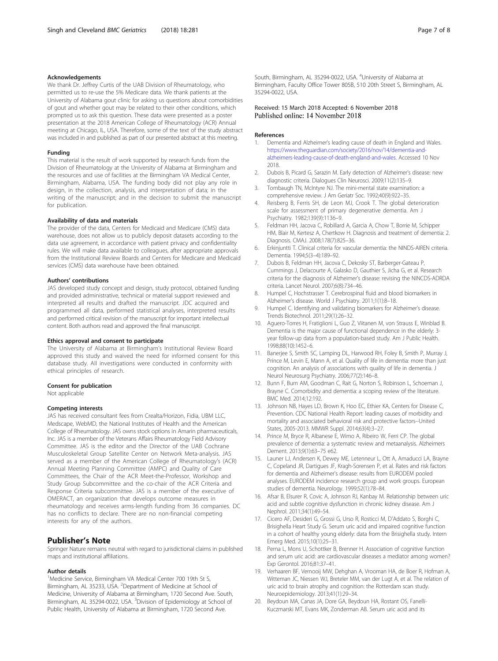## <span id="page-6-0"></span>Acknowledgements

We thank Dr. Jeffrey Curtis of the UAB Division of Rheumatology, who permitted us to re-use the 5% Medicare data. We thank patients at the University of Alabama gout clinic for asking us questions about comorbidities of gout and whether gout may be related to their other conditions, which prompted us to ask this question. These data were presented as a poster presentation at the 2018 American College of Rheumatology (ACR) Annual meeting at Chicago, IL, USA. Therefore, some of the text of the study abstract was included in and published as part of our presented abstract at this meeting.

#### Funding

This material is the result of work supported by research funds from the Division of Rheumatology at the University of Alabama at Birmingham and the resources and use of facilities at the Birmingham VA Medical Center, Birmingham, Alabama, USA. The funding body did not play any role in design, in the collection, analysis, and interpretation of data; in the writing of the manuscript; and in the decision to submit the manuscript for publication.

#### Availability of data and materials

The provider of the data, Centers for Medicaid and Medicare (CMS) data warehouse, does not allow us to publicly deposit datasets according to the data use agreement, in accordance with patient privacy and confidentiality rules. We will make data available to colleagues, after appropriate approvals from the Institutional Review Boards and Centers for Medicare and Medicaid services (CMS) data warehouse have been obtained.

#### Authors' contributions

JAS developed study concept and design, study protocol, obtained funding and provided administrative, technical or material support reviewed and interpreted all results and drafted the manuscript. JDC acquired and programmed all data, performed statistical analyses, interpreted results and performed critical revision of the manuscript for important intellectual content. Both authors read and approved the final manuscript.

#### Ethics approval and consent to participate

The University of Alabama at Birmingham's Institutional Review Board approved this study and waived the need for informed consent for this database study. All investigations were conducted in conformity with ethical principles of research.

#### Consent for publication

Not applicable

#### Competing interests

JAS has received consultant fees from Crealta/Horizon, Fidia, UBM LLC, Medscape, WebMD, the National Institutes of Health and the American College of Rheumatology. JAS owns stock options in Amarin pharmaceuticals, Inc. JAS is a member of the Veterans Affairs Rheumatology Field Advisory Committee. JAS is the editor and the Director of the UAB Cochrane Musculoskeletal Group Satellite Center on Network Meta-analysis. JAS served as a member of the American College of Rheumatology's (ACR) Annual Meeting Planning Committee (AMPC) and Quality of Care Committees, the Chair of the ACR Meet-the-Professor, Workshop and Study Group Subcommittee and the co-chair of the ACR Criteria and Response Criteria subcommittee. JAS is a member of the executive of OMERACT, an organization that develops outcome measures in rheumatology and receives arms-length funding from 36 companies. DC has no conflicts to declare. There are no non-financial competing interests for any of the authors.

## Publisher's Note

Springer Nature remains neutral with regard to jurisdictional claims in published maps and institutional affiliations.

#### Author details

<sup>1</sup>Medicine Service, Birmingham VA Medical Center 700 19th St S, Birmingham, AL 35233, USA. <sup>2</sup>Department of Medicine at School of Medicine, University of Alabama at Birmingham, 1720 Second Ave. South, Birmingham, AL 35294-0022, USA. <sup>3</sup>Division of Epidemiology at School of Public Health, University of Alabama at Birmingham, 1720 Second Ave.

South, Birmingham, AL 35294-0022, USA. <sup>4</sup>University of Alabama at Birmingham, Faculty Office Tower 805B, 510 20th Street S, Birmingham, AL 35294-0022, USA.

#### Received: 15 March 2018 Accepted: 6 November 2018 Published online: 14 November 2018

#### References

- 1. Dementia and Alzheimer's leading cause of death in England and Wales. [https://www.theguardian.com/society/2016/nov/14/dementia-and](https://www.theguardian.com/society/2016/nov/14/dementia-and-alzheimers-leading-cause-of-death-england-and-wales)[alzheimers-leading-cause-of-death-england-and-wales](https://www.theguardian.com/society/2016/nov/14/dementia-and-alzheimers-leading-cause-of-death-england-and-wales). Accessed 10 Nov 2018.
- 2. Dubois B, Picard G, Sarazin M. Early detection of Alzheimer's disease: new diagnostic criteria. Dialogues Clin Neurosci. 2009;11(2):135–9.
- 3. Tombaugh TN, McIntyre NJ. The mini-mental state examination: a comprehensive review. J Am Geriatr Soc. 1992;40(9):922–35.
- 4. Reisberg B, Ferris SH, de Leon MJ, Crook T. The global deterioration scale for assessment of primary degenerative dementia. Am J Psychiatry. 1982;139(9):1136–9.
- 5. Feldman HH, Jacova C, Robillard A, Garcia A, Chow T, Borrie M, Schipper HM, Blair M, Kertesz A, Chertkow H. Diagnosis and treatment of dementia: 2. Diagnosis. CMAJ. 2008;178(7):825–36.
- 6. Erkinjuntti T. Clinical criteria for vascular dementia: the NINDS-AIREN criteria. Dementia. 1994;5(3–4):189–92.
- 7. Dubois B, Feldman HH, Jacova C, Dekosky ST, Barberger-Gateau P, Cummings J, Delacourte A, Galasko D, Gauthier S, Jicha G, et al. Research criteria for the diagnosis of Alzheimer's disease: revising the NINCDS-ADRDA criteria. Lancet Neurol. 2007;6(8):734–46.
- 8. Humpel C, Hochstrasser T. Cerebrospinal fluid and blood biomarkers in Alzheimer's disease. World J Psychiatry. 2011;1(1):8–18.
- 9. Humpel C. Identifying and validating biomarkers for Alzheimer's disease. Trends Biotechnol. 2011;29(1):26–32.
- 10. Aguero-Torres H, Fratiglioni L, Guo Z, Viitanen M, von Strauss E, Winblad B. Dementia is the major cause of functional dependence in the elderly: 3 year follow-up data from a population-based study. Am J Public Health. 1998;88(10):1452–6.
- 11. Banerjee S, Smith SC, Lamping DL, Harwood RH, Foley B, Smith P, Murray J, Prince M, Levin E, Mann A, et al. Quality of life in dementia: more than just cognition. An analysis of associations with quality of life in dementia. J Neurol Neurosurg Psychiatry. 2006;77(2):146–8.
- 12. Bunn F, Burn AM, Goodman C, Rait G, Norton S, Robinson L, Schoeman J, Brayne C. Comorbidity and dementia: a scoping review of the literature. BMC Med. 2014;12:192.
- 13. Johnson NB, Hayes LD, Brown K, Hoo EC, Ethier KA, Centers for Disease C, Prevention. CDC National Health Report: leading causes of morbidity and mortality and associated behavioral risk and protective factors--United States, 2005-2013. MMWR Suppl. 2014;63(4):3–27.
- 14. Prince M, Bryce R, Albanese E, Wimo A, Ribeiro W, Ferri CP. The global prevalence of dementia: a systematic review and metaanalysis. Alzheimers Dement. 2013;9(1):63–75 e62.
- 15. Launer LJ, Andersen K, Dewey ME, Letenneur L, Ott A, Amaducci LA, Brayne C, Copeland JR, Dartigues JF, Kragh-Sorensen P, et al. Rates and risk factors for dementia and Alzheimer's disease: results from EURODEM pooled analyses. EURODEM incidence research group and work groups. European studies of dementia. Neurology. 1999;52(1):78–84.
- 16. Afsar B, Elsurer R, Covic A, Johnson RJ, Kanbay M. Relationship between uric acid and subtle cognitive dysfunction in chronic kidney disease. Am J Nephrol. 2011;34(1):49–54.
- 17. Cicero AF, Desideri G, Grossi G, Urso R, Rosticci M, D'Addato S, Borghi C, Brisighella Heart Study G. Serum uric acid and impaired cognitive function in a cohort of healthy young elderly: data from the Brisighella study. Intern Emerg Med. 2015;10(1):25–31.
- 18. Perna L, Mons U, Schottker B, Brenner H. Association of cognitive function and serum uric acid: are cardiovascular diseases a mediator among women? Exp Gerontol. 2016;81:37–41.
- 19. Verhaaren BF, Vernooij MW, Dehghan A, Vrooman HA, de Boer R, Hofman A, Witteman JC, Niessen WJ, Breteler MM, van der Lugt A, et al. The relation of uric acid to brain atrophy and cognition: the Rotterdam scan study. Neuroepidemiology. 2013;41(1):29–34.
- 20. Beydoun MA, Canas JA, Dore GA, Beydoun HA, Rostant OS, Fanelli-Kuczmarski MT, Evans MK, Zonderman AB. Serum uric acid and its